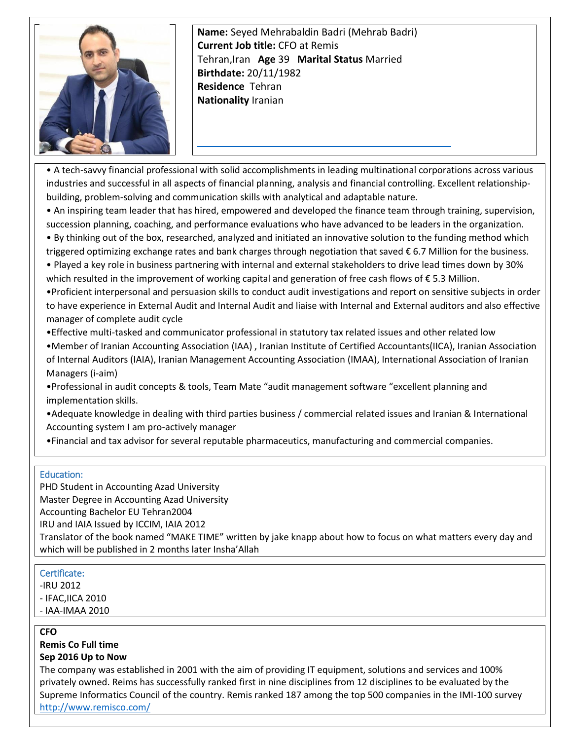

**Name:** Seyed Mehrabaldin Badri (Mehrab Badri) **Current Job title:** CFO at Remis Tehran,Iran **Age** 39 **Marital Status** Married **Birthdate:** 20/11/1982 **Residence** Tehran **Nationality** Ira[nian](mailto:mehrabbadri@gmail.com) 

• A tech-savvy financial professional with solid accomplishments in leading multinational corporations across various industries and successful in all aspects of financial planning, analysis and financial controlling. Excellent relationshipbuilding, problem-solving and communication skills with analytical and adaptable nature.

• An inspiring team leader that has hired, empowered and developed the finance team through training, supervision, succession planning, coaching, and performance evaluations who have advanced to be leaders in the organization.

• By thinking out of the box, researched, analyzed and initiated an innovative solution to the funding method which triggered optimizing exchange rates and bank charges through negotiation that saved € 6.7 Million for the business.

• Played a key role in business partnering with internal and external stakeholders to drive lead times down by 30% which resulted in the improvement of working capital and generation of free cash flows of € 5.3 Million.

•Proficient interpersonal and persuasion skills to conduct audit investigations and report on sensitive subjects in order to have experience in External Audit and Internal Audit and liaise with Internal and External auditors and also effective manager of complete audit cycle

•Effective multi-tasked and communicator professional in statutory tax related issues and other related low

•Member of Iranian Accounting Association (IAA) , Iranian Institute of Certified Accountants(IICA), Iranian Association of Internal Auditors (IAIA), Iranian Management Accounting Association (IMAA), International Association of Iranian Managers (i-aim)

•Professional in audit concepts & tools, Team Mate "audit management software "excellent planning and implementation skills.

•Adequate knowledge in dealing with third parties business / commercial related issues and Iranian & International Accounting system I am pro-actively manager

•Financial and tax advisor for several reputable pharmaceutics, manufacturing and commercial companies.

### Education:

PHD Student in Accounting Azad University Master Degree in Accounting Azad University Accounting Bachelor EU Tehran2004 IRU and IAIA Issued by ICCIM, IAIA 2012 Translator of the book named "MAKE TIME" written by jake knapp about how to focus on what matters every day and which will be published in 2 months later Insha'Allah

#### Certificate:

- -IRU 2012
- IFAC,IICA 2010
- IAA-IMAA 2010

### **CFO**

**Remis Co Full time**

### **Sep 2016 Up to Now**

The company was established in 2001 with the aim of providing IT equipment, solutions and services and 100% privately owned. Reims has successfully ranked first in nine disciplines from 12 disciplines to be evaluated by the Supreme Informatics Council of the country. Remis ranked 187 among the top 500 companies in the IMI-100 survey <http://www.remisco.com/>